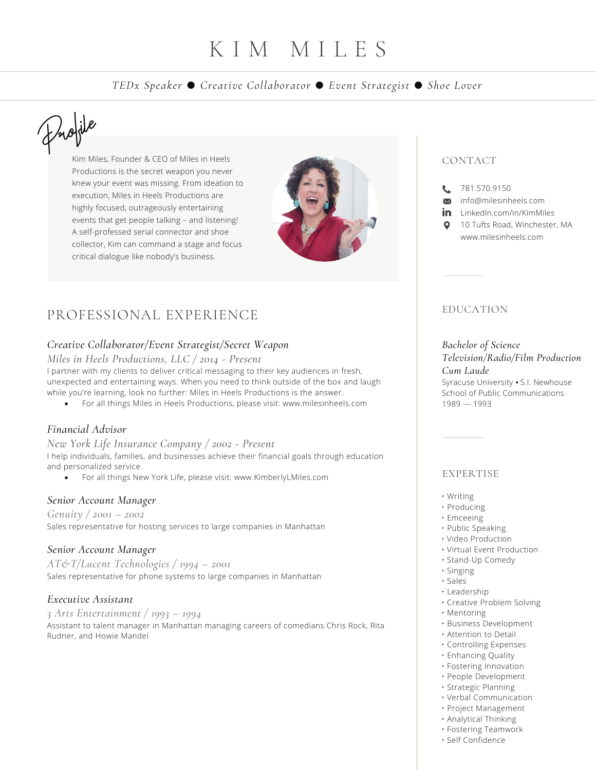# K I M M I L E S

# *TEDx Speaker ● Creative Collaborator ● Event Strategist ● Shoe Lover*

# Profile

Kim Miles, Founder & CEO of Miles in Heels Productions is the secret weapon you never knew your event was missing. From ideation to execution, Miles in Heels Productions are highly focused, outrageously entertaining events that get people talking – and listening! A self-professed serial connector and shoe collector, Kim can command a stage and focus critical dialogue like nobody's business.



# PROFESSIONAL EXPERIENCE

# *Creative Collaborator/Event Strategist/Secret Weapon*

*Miles in Heels Productions, LLC / 2014 - Present*

I partner with my clients to deliver critical messaging to their key audiences in fresh, unexpected and entertaining ways. When you need to think outside of the box and laugh while you're learning, look no further: Miles in Heels Productions is the answer.

• For all things Miles in Heels Productions, please visit: www.milesinheels.com

# *Financial Advisor*

*New York Life Insurance Company / 2002 - Present* I help individuals, families, and businesses achieve their financial goals through education and personalized service.

• For all things New York Life, please visit: www.KimberlyLMiles.com

# *Senior Account Manager*

*Genuity / 2001 – 2002* Sales representative for hosting services to large companies in Manhattan

# *Senior Account Manager*

*AT&T/Lucent Technologies / 1994 – 2001* Sales representative for phone systems to large companies in Manhattan

# *Executive Assistant*

*3 Arts Entertainment / 1993 – 1994* Assistant to talent manager in Manhattan managing careers of comedians Chris Rock, Rita Rudner, and Howie Mandel

# CONTACT

- 181.570.9150
- $\overline{\mathbf{M}}$ info@milesinheels.com
- in LinkedIn.com/in/KimMiles
- 10 Tufts Road, Winchester, MA www.milesinheels.com

# EDUCATION

# *Bachelor of Science Television/Radio/Film Production Cum Laude*

Syracuse University ▪ S.I. Newhouse School of Public Communications 1989 — 1993

# EXPERTISE

- Writing
- Producing
- Emceeing
- Public Speaking
- Video Production
- Virtual Event Production
- Stand-Up Comedy
- Singing
- Sales
- Leadership
- Creative Problem Solving • Mentoring
- Business Development
- Attention to Detail
- Controlling Expenses
- Enhancing Quality
- Fostering Innovation
- People Development
- Strategic Planning
- Verbal Communication
- Project Management
- Analytical Thinking
- Fostering Teamwork
- Self Confidence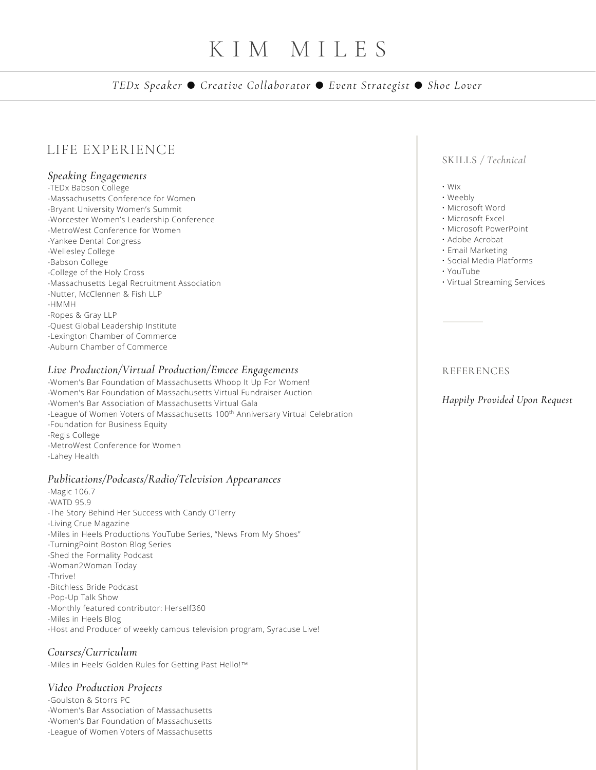# K I M M I L E S

*TEDx Speaker ● Creative Collaborator ● Event Strategist ● Shoe Lover*

# LIFE EXPERIENCE

#### *Speaking Engagements*

- -TEDx Babson College
- -Massachusetts Conference for Women
- -Bryant University Women's Summit
- -Worcester Women's Leadership Conference
- -MetroWest Conference for Women
- -Yankee Dental Congress
- -Wellesley College
- -Babson College
- -College of the Holy Cross
- -Massachusetts Legal Recruitment Association
- -Nutter, McClennen & Fish LLP
- -HMMH
- -Ropes & Gray LLP
- -Quest Global Leadership Institute
- -Lexington Chamber of Commerce
- -Auburn Chamber of Commerce

#### *Live Production/Virtual Production/Emcee Engagements*

- -Women's Bar Foundation of Massachusetts Whoop It Up For Women!
- -Women's Bar Foundation of Massachusetts Virtual Fundraiser Auction
- -Women's Bar Association of Massachusetts Virtual Gala
- -League of Women Voters of Massachusetts 100<sup>th</sup> Anniversary Virtual Celebration
- -Foundation for Business Equity
- -Regis College
- -MetroWest Conference for Women
- -Lahey Health

### *Publications/Podcasts/Radio/Television Appearances*

- -Magic 106.7
- -WATD 95.9
- -The Story Behind Her Success with Candy O'Terry
- -Living Crue Magazine
- -Miles in Heels Productions YouTube Series, "News From My Shoes"
- -TurningPoint Boston Blog Series
- -Shed the Formality Podcast
- -Woman2Woman Today
- -Thrive!
- -Bitchless Bride Podcast
- -Pop-Up Talk Show
- -Monthly featured contributor: Herself360
- -Miles in Heels Blog
- -Host and Producer of weekly campus television program, Syracuse Live!

# *Courses/Curriculum*

-Miles in Heels' Golden Rules for Getting Past Hello!™

# *Video Production Projects*

- -Goulston & Storrs PC
- -Women's Bar Association of Massachusetts
- -Women's Bar Foundation of Massachusetts
- -League of Women Voters of Massachusetts

# SKILLS */ Technical*

- Wix
- Weebly
- Microsoft Word
- Microsoft Excel
- Microsoft PowerPoint
- Adobe Acrobat
- Email Marketing
- Social Media Platforms
- YouTube
- Virtual Streaming Services

# **REFERENCES**

# *Happily Provided Upon Request*